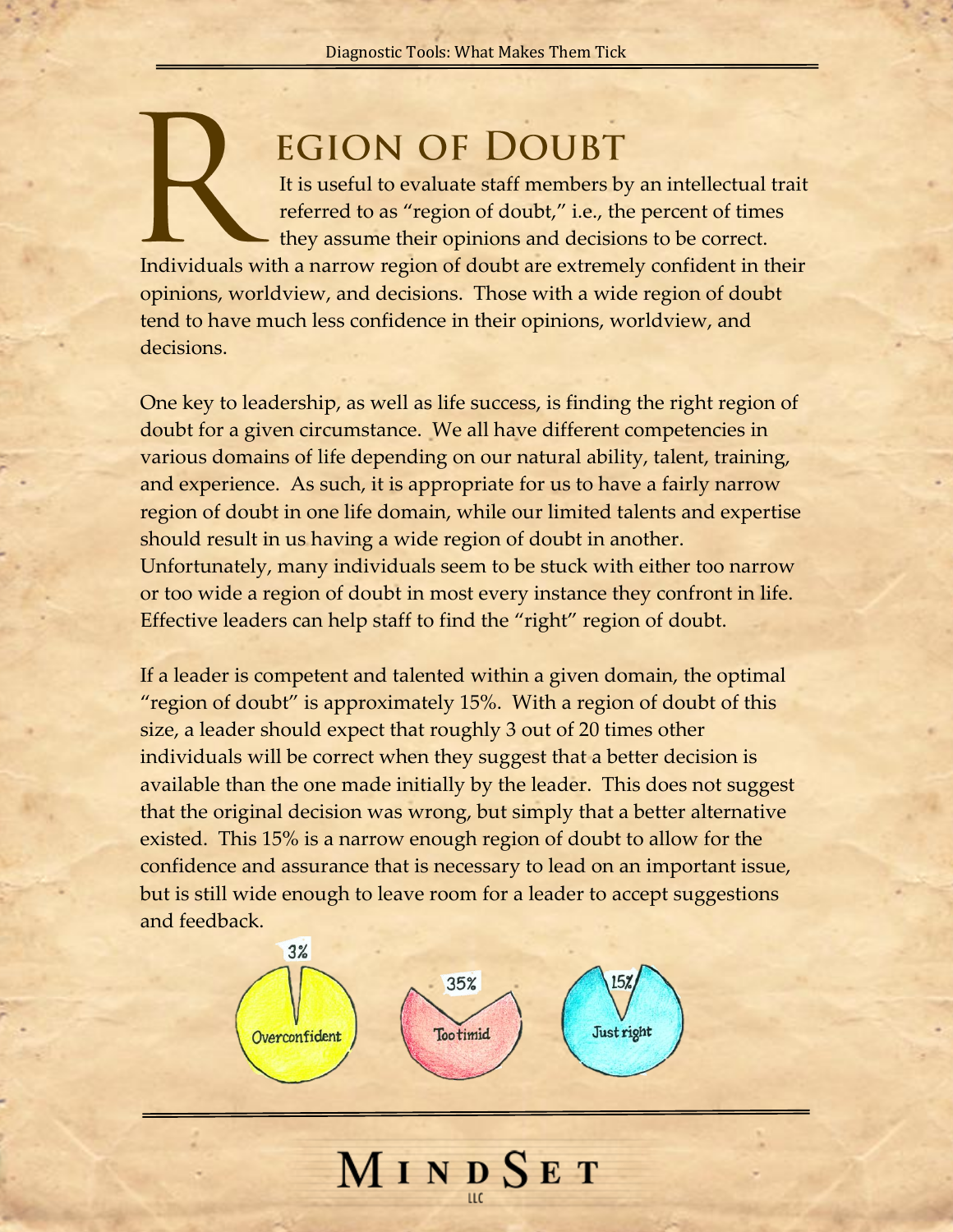## **EGION OF DOUBT**

It is useful to evaluate staff members by an intellectual trait referred to as "region of doubt," i.e., the percent of times they assume their opinions and decisions to be correct. Individuals with a narrow region of doubt are extremely confident in their opinions, worldview, and decisions. Those with a wide region of doubt tend to have much less confidence in their opinions, worldview, and decisions.

One key to leadership, as well as life success, is finding the right region of doubt for a given circumstance. We all have different competencies in various domains of life depending on our natural ability, talent, training, and experience. As such, it is appropriate for us to have a fairly narrow region of doubt in one life domain, while our limited talents and expertise should result in us having a wide region of doubt in another. Unfortunately, many individuals seem to be stuck with either too narrow or too wide a region of doubt in most every instance they confront in life. Effective leaders can help staff to find the "right" region of doubt.

If a leader is competent and talented within a given domain, the optimal "region of doubt" is approximately 15%. With a region of doubt of this size, a leader should expect that roughly 3 out of 20 times other individuals will be correct when they suggest that a better decision is available than the one made initially by the leader. This does not suggest that the original decision was wrong, but simply that a better alternative existed. This 15% is a narrow enough region of doubt to allow for the confidence and assurance that is necessary to lead on an important issue, but is still wide enough to leave room for a leader to accept suggestions and feedback.



MINDSET